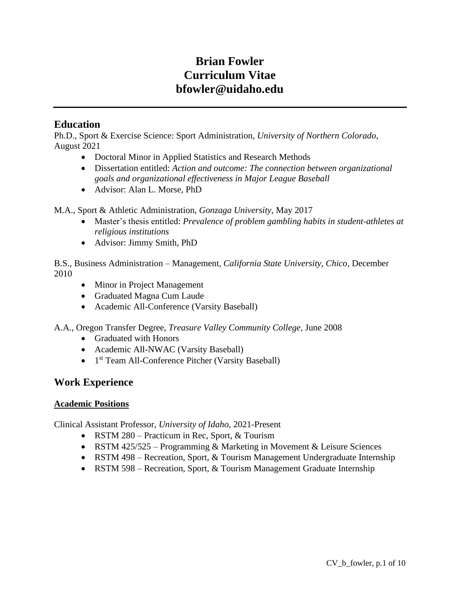# **Brian Fowler Curriculum Vitae bfowler@uidaho.edu**

# **Education**

Ph.D., Sport & Exercise Science: Sport Administration, *University of Northern Colorado*, August 2021

- Doctoral Minor in Applied Statistics and Research Methods
- Dissertation entitled: *Action and outcome: The connection between organizational goals and organizational effectiveness in Major League Baseball*
- Advisor: Alan L. Morse, PhD

M.A., Sport & Athletic Administration, *Gonzaga University*, May 2017

- Master's thesis entitled: *Prevalence of problem gambling habits in student-athletes at religious institutions*
- Advisor: Jimmy Smith, PhD

B.S., Business Administration – Management, *California State University, Chico*, December 2010

- Minor in Project Management
- Graduated Magna Cum Laude
- Academic All-Conference (Varsity Baseball)
- A.A., Oregon Transfer Degree, *Treasure Valley Community College*, June 2008
	- Graduated with Honors
	- Academic All-NWAC (Varsity Baseball)
	- 1<sup>st</sup> Team All-Conference Pitcher (Varsity Baseball)

# **Work Experience**

# **Academic Positions**

Clinical Assistant Professor, *University of Idaho*, 2021-Present

- RSTM 280 Practicum in Rec, Sport, & Tourism
- RSTM 425/525 Programming & Marketing in Movement & Leisure Sciences
- RSTM 498 Recreation, Sport, & Tourism Management Undergraduate Internship
- RSTM 598 Recreation, Sport, & Tourism Management Graduate Internship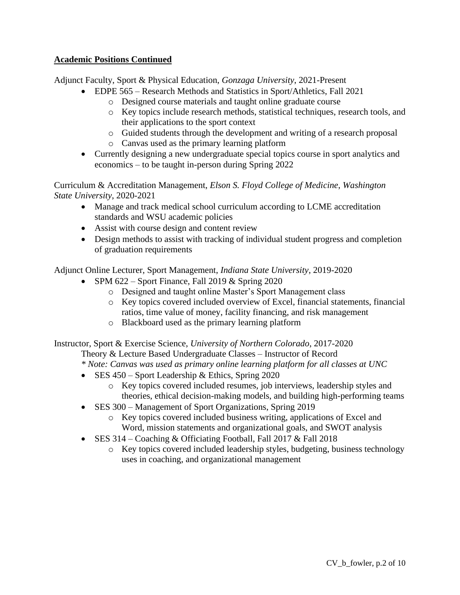# **Academic Positions Continued**

Adjunct Faculty, Sport & Physical Education, *Gonzaga University*, 2021-Present

- EDPE 565 Research Methods and Statistics in Sport/Athletics, Fall 2021
	- o Designed course materials and taught online graduate course
	- o Key topics include research methods, statistical techniques, research tools, and their applications to the sport context
	- o Guided students through the development and writing of a research proposal
	- o Canvas used as the primary learning platform
- Currently designing a new undergraduate special topics course in sport analytics and economics – to be taught in-person during Spring 2022

Curriculum & Accreditation Management, *Elson S. Floyd College of Medicine*, *Washington State University*, 2020-2021

- Manage and track medical school curriculum according to LCME accreditation standards and WSU academic policies
- Assist with course design and content review
- Design methods to assist with tracking of individual student progress and completion of graduation requirements

Adjunct Online Lecturer, Sport Management, *Indiana State University*, 2019-2020

- SPM  $622$  Sport Finance, Fall 2019 & Spring 2020
	- o Designed and taught online Master's Sport Management class
	- o Key topics covered included overview of Excel, financial statements, financial ratios, time value of money, facility financing, and risk management
	- o Blackboard used as the primary learning platform

Instructor, Sport & Exercise Science, *University of Northern Colorado*, 2017-2020

Theory & Lecture Based Undergraduate Classes – Instructor of Record

*\* Note: Canvas was used as primary online learning platform for all classes at UNC*

- SES 450 Sport Leadership & Ethics, Spring 2020
	- o Key topics covered included resumes, job interviews, leadership styles and theories, ethical decision-making models, and building high-performing teams
- SES 300 Management of Sport Organizations, Spring 2019
	- o Key topics covered included business writing, applications of Excel and Word, mission statements and organizational goals, and SWOT analysis
- SES 314 Coaching & Officiating Football, Fall 2017 & Fall 2018
	- o Key topics covered included leadership styles, budgeting, business technology uses in coaching, and organizational management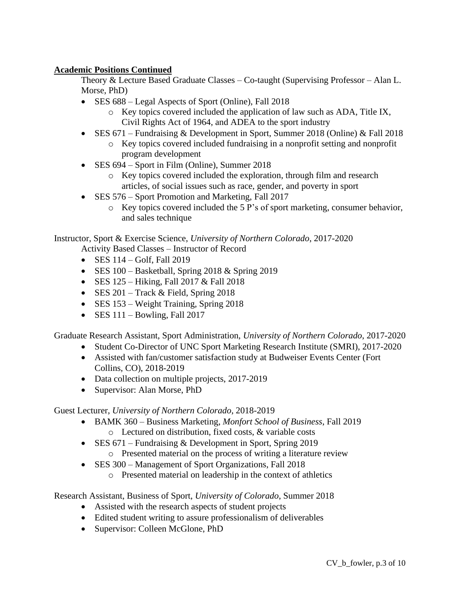# **Academic Positions Continued**

Theory & Lecture Based Graduate Classes – Co-taught (Supervising Professor – Alan L. Morse, PhD)

- SES 688 Legal Aspects of Sport (Online), Fall 2018
	- o Key topics covered included the application of law such as ADA, Title IX, Civil Rights Act of 1964, and ADEA to the sport industry
- SES  $671$  Fundraising & Development in Sport, Summer 2018 (Online) & Fall 2018
	- o Key topics covered included fundraising in a nonprofit setting and nonprofit program development
- SES 694 Sport in Film (Online), Summer 2018
	- o Key topics covered included the exploration, through film and research articles, of social issues such as race, gender, and poverty in sport
- SES 576 Sport Promotion and Marketing, Fall 2017
	- o Key topics covered included the 5 P's of sport marketing, consumer behavior, and sales technique

Instructor, Sport & Exercise Science, *University of Northern Colorado*, 2017-2020

Activity Based Classes – Instructor of Record

- SES  $114 \text{Golf}$ , Fall  $2019$
- SES  $100 Basketball$ , Spring 2018 & Spring 2019
- SES  $125 Hiking$ , Fall  $2017 &$  Fall  $2018$
- SES  $201 \text{Track} \& \text{Field}$ , Spring 2018
- SES 153 Weight Training, Spring 2018
- SES  $111 Bowling$ , Fall  $2017$

Graduate Research Assistant, Sport Administration, *University of Northern Colorado*, 2017-2020

- Student Co-Director of UNC Sport Marketing Research Institute (SMRI), 2017-2020
- Assisted with fan/customer satisfaction study at Budweiser Events Center (Fort Collins, CO), 2018-2019
- Data collection on multiple projects, 2017-2019
- Supervisor: Alan Morse, PhD

Guest Lecturer, *University of Northern Colorado*, 2018-2019

- BAMK 360 Business Marketing, *Monfort School of Business*, Fall 2019 o Lectured on distribution, fixed costs, & variable costs
- SES 671 Fundraising & Development in Sport, Spring 2019
	- o Presented material on the process of writing a literature review
- SES 300 Management of Sport Organizations, Fall 2018
	- o Presented material on leadership in the context of athletics

Research Assistant, Business of Sport, *University of Colorado*, Summer 2018

- Assisted with the research aspects of student projects
- Edited student writing to assure professionalism of deliverables
- Supervisor: Colleen McGlone, PhD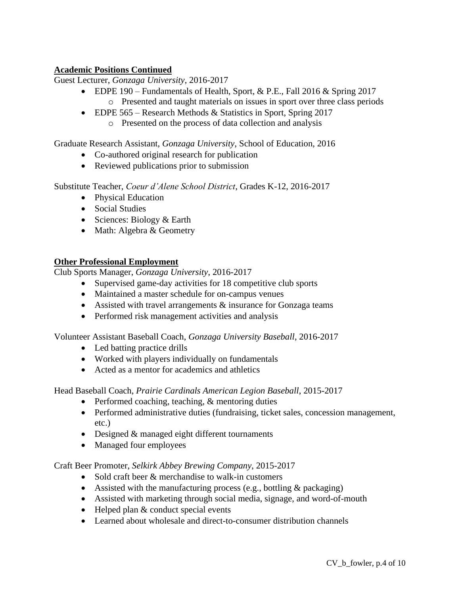# **Academic Positions Continued**

Guest Lecturer, *Gonzaga University*, 2016-2017

- EDPE 190 Fundamentals of Health, Sport, & P.E., Fall 2016 & Spring 2017 o Presented and taught materials on issues in sport over three class periods
- EDPE 565 Research Methods & Statistics in Sport, Spring 2017
	- o Presented on the process of data collection and analysis

Graduate Research Assistant, *Gonzaga University*, School of Education, 2016

- Co-authored original research for publication
- Reviewed publications prior to submission

Substitute Teacher, *Coeur d'Alene School District*, Grades K-12, 2016-2017

- Physical Education
- Social Studies
- Sciences: Biology & Earth
- Math: Algebra & Geometry

## **Other Professional Employment**

Club Sports Manager, *Gonzaga University*, 2016-2017

- Supervised game-day activities for 18 competitive club sports
- Maintained a master schedule for on-campus venues
- Assisted with travel arrangements  $\&$  insurance for Gonzaga teams
- Performed risk management activities and analysis

Volunteer Assistant Baseball Coach, *Gonzaga University Baseball*, 2016-2017

- Led batting practice drills
- Worked with players individually on fundamentals
- Acted as a mentor for academics and athletics

Head Baseball Coach, *Prairie Cardinals American Legion Baseball*, 2015-2017

- Performed coaching, teaching, & mentoring duties
- Performed administrative duties (fundraising, ticket sales, concession management, etc.)
- Designed & managed eight different tournaments
- Managed four employees

Craft Beer Promoter, *Selkirk Abbey Brewing Company*, 2015-2017

- Sold craft beer & merchandise to walk-in customers
- Assisted with the manufacturing process (e.g., bottling  $\&$  packaging)
- Assisted with marketing through social media, signage, and word-of-mouth
- Helped plan & conduct special events
- Learned about wholesale and direct-to-consumer distribution channels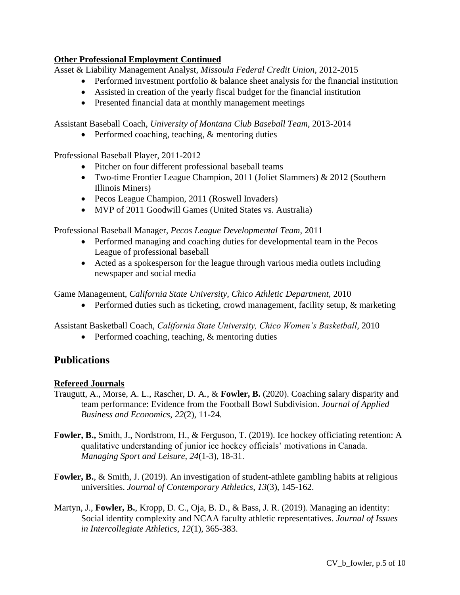# **Other Professional Employment Continued**

Asset & Liability Management Analyst, *Missoula Federal Credit Union*, 2012-2015

- Performed investment portfolio & balance sheet analysis for the financial institution
- Assisted in creation of the yearly fiscal budget for the financial institution
- Presented financial data at monthly management meetings

Assistant Baseball Coach, *University of Montana Club Baseball Team*, 2013-2014

• Performed coaching, teaching, & mentoring duties

Professional Baseball Player, 2011-2012

- Pitcher on four different professional baseball teams
- Two-time Frontier League Champion, 2011 (Joliet Slammers) & 2012 (Southern Illinois Miners)
- Pecos League Champion, 2011 (Roswell Invaders)
- MVP of 2011 Goodwill Games (United States vs. Australia)

Professional Baseball Manager, *Pecos League Developmental Team*, 2011

- Performed managing and coaching duties for developmental team in the Pecos League of professional baseball
- Acted as a spokesperson for the league through various media outlets including newspaper and social media

Game Management, *California State University, Chico Athletic Department*, 2010

• Performed duties such as ticketing, crowd management, facility setup, & marketing

Assistant Basketball Coach, *California State University, Chico Women's Basketball*, 2010

• Performed coaching, teaching, & mentoring duties

# **Publications**

# **Refereed Journals**

- Traugutt, A., Morse, A. L., Rascher, D. A., & **Fowler, B.** (2020). Coaching salary disparity and team performance: Evidence from the Football Bowl Subdivision. *Journal of Applied Business and Economics*, *22*(2), 11-24*.*
- **Fowler, B.,** Smith, J., Nordstrom, H., & Ferguson, T. (2019). Ice hockey officiating retention: A qualitative understanding of junior ice hockey officials' motivations in Canada. *Managing Sport and Leisure*, *24*(1-3), 18-31.
- **Fowler, B.**, & Smith, J. (2019). An investigation of student-athlete gambling habits at religious universities. *Journal of Contemporary Athletics*, *13*(3), 145-162.
- Martyn, J., **Fowler, B.**, Kropp, D. C., Oja, B. D., & Bass, J. R. (2019). Managing an identity: Social identity complexity and NCAA faculty athletic representatives. *Journal of Issues in Intercollegiate Athletics*, *12*(1), 365-383.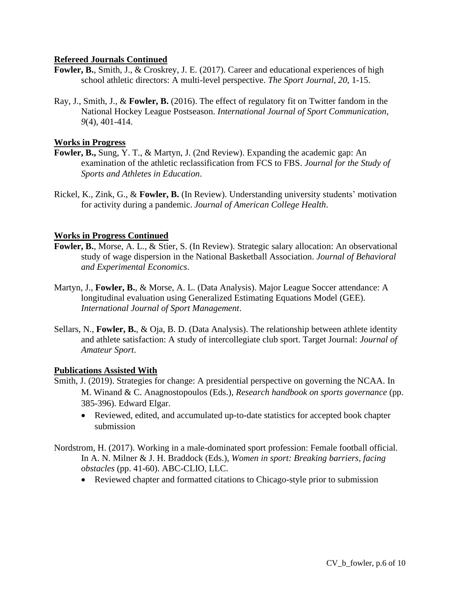## **Refereed Journals Continued**

- **Fowler, B.**, Smith, J., & Croskrey, J. E. (2017). Career and educational experiences of high school athletic directors: A multi-level perspective. *The Sport Journal*, *20*, 1-15.
- Ray, J., Smith, J., & **Fowler, B.** (2016). The effect of regulatory fit on Twitter fandom in the National Hockey League Postseason. *International Journal of Sport Communication*, *9*(4), 401-414.

## **Works in Progress**

- **Fowler, B.,** Sung, Y. T., & Martyn, J. (2nd Review). Expanding the academic gap: An examination of the athletic reclassification from FCS to FBS. *Journal for the Study of Sports and Athletes in Education*.
- Rickel, K., Zink, G., & **Fowler, B.** (In Review). Understanding university students' motivation for activity during a pandemic. *Journal of American College Health*.

## **Works in Progress Continued**

- **Fowler, B.**, Morse, A. L., & Stier, S. (In Review). Strategic salary allocation: An observational study of wage dispersion in the National Basketball Association. *Journal of Behavioral and Experimental Economics*.
- Martyn, J., **Fowler, B.**, & Morse, A. L. (Data Analysis). Major League Soccer attendance: A longitudinal evaluation using Generalized Estimating Equations Model (GEE). *International Journal of Sport Management*.
- Sellars, N., **Fowler, B.**, & Oja, B. D. (Data Analysis). The relationship between athlete identity and athlete satisfaction: A study of intercollegiate club sport. Target Journal: *Journal of Amateur Sport*.

#### **Publications Assisted With**

- Smith, J. (2019). Strategies for change: A presidential perspective on governing the NCAA. In M. Winand & C. Anagnostopoulos (Eds.), *Research handbook on sports governance* (pp. 385-396). Edward Elgar.
	- Reviewed, edited, and accumulated up-to-date statistics for accepted book chapter submission
- Nordstrom, H. (2017). Working in a male-dominated sport profession: Female football official. In A. N. Milner & J. H. Braddock (Eds.), *Women in sport: Breaking barriers, facing obstacles* (pp. 41-60). ABC-CLIO, LLC.
	- Reviewed chapter and formatted citations to Chicago-style prior to submission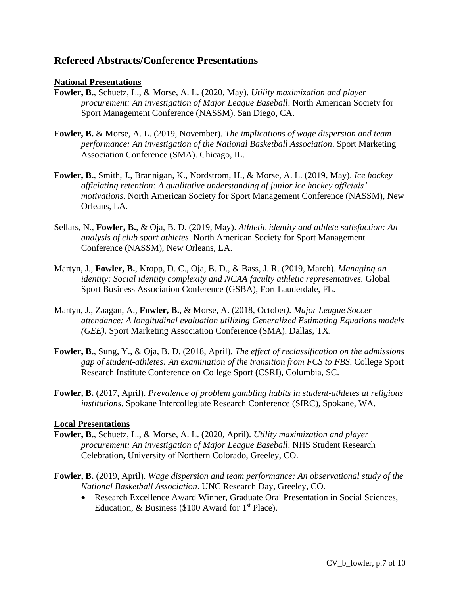# **Refereed Abstracts/Conference Presentations**

#### **National Presentations**

- **Fowler, B.**, Schuetz, L., & Morse, A. L. (2020, May). *Utility maximization and player procurement: An investigation of Major League Baseball*. North American Society for Sport Management Conference (NASSM). San Diego, CA.
- **Fowler, B.** & Morse, A. L. (2019, November). *The implications of wage dispersion and team performance: An investigation of the National Basketball Association*. Sport Marketing Association Conference (SMA). Chicago, IL.
- **Fowler, B.**, Smith, J., Brannigan, K., Nordstrom, H., & Morse, A. L. (2019, May). *Ice hockey officiating retention: A qualitative understanding of junior ice hockey officials' motivations*. North American Society for Sport Management Conference (NASSM), New Orleans, LA.
- Sellars, N., **Fowler, B.**, & Oja, B. D. (2019, May). *Athletic identity and athlete satisfaction: An analysis of club sport athletes*. North American Society for Sport Management Conference (NASSM), New Orleans, LA.
- Martyn, J., **Fowler, B.**, Kropp, D. C., Oja, B. D., & Bass, J. R. (2019, March). *Managing an identity: Social identity complexity and NCAA faculty athletic representatives.* Global Sport Business Association Conference (GSBA), Fort Lauderdale, FL.
- Martyn, J., Zaagan, A., **Fowler, B.**, & Morse, A. (2018, October*). Major League Soccer attendance: A longitudinal evaluation utilizing Generalized Estimating Equations models (GEE)*. Sport Marketing Association Conference (SMA). Dallas, TX.
- **Fowler, B.**, Sung, Y., & Oja, B. D. (2018, April). *The effect of reclassification on the admissions gap of student-athletes: An examination of the transition from FCS to FBS*. College Sport Research Institute Conference on College Sport (CSRI), Columbia, SC.
- **Fowler, B.** (2017, April). *Prevalence of problem gambling habits in student-athletes at religious institutions*. Spokane Intercollegiate Research Conference (SIRC), Spokane, WA.

#### **Local Presentations**

- **Fowler, B.**, Schuetz, L., & Morse, A. L. (2020, April). *Utility maximization and player procurement: An investigation of Major League Baseball*. NHS Student Research Celebration, University of Northern Colorado, Greeley, CO.
- **Fowler, B.** (2019, April). *Wage dispersion and team performance: An observational study of the National Basketball Association*. UNC Research Day, Greeley, CO.
	- Research Excellence Award Winner, Graduate Oral Presentation in Social Sciences, Education, & Business (\$100 Award for  $1<sup>st</sup>$  Place).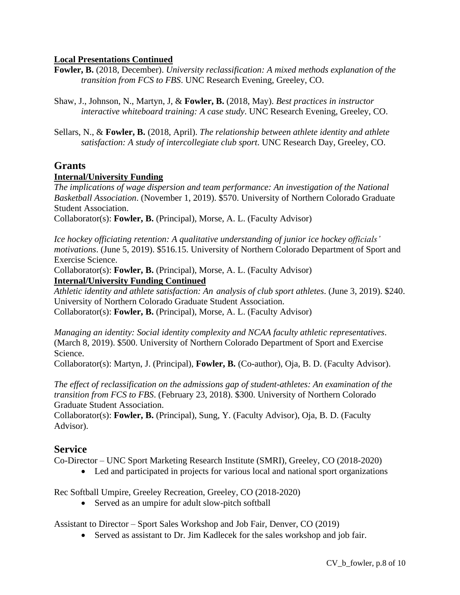# **Local Presentations Continued**

- **Fowler, B.** (2018, December). *University reclassification: A mixed methods explanation of the transition from FCS to FBS*. UNC Research Evening, Greeley, CO.
- Shaw, J., Johnson, N., Martyn, J, & **Fowler, B.** (2018, May). *Best practices in instructor interactive whiteboard training: A case study*. UNC Research Evening, Greeley, CO.
- Sellars, N., & **Fowler, B.** (2018, April). *The relationship between athlete identity and athlete satisfaction: A study of intercollegiate club sport*. UNC Research Day, Greeley, CO.

# **Grants**

# **Internal/University Funding**

*The implications of wage dispersion and team performance: An investigation of the National Basketball Association*. (November 1, 2019). \$570. University of Northern Colorado Graduate Student Association.

Collaborator(s): **Fowler, B.** (Principal), Morse, A. L. (Faculty Advisor)

*Ice hockey officiating retention: A qualitative understanding of junior ice hockey officials' motivations*. (June 5, 2019). \$516.15. University of Northern Colorado Department of Sport and Exercise Science.

Collaborator(s): **Fowler, B.** (Principal), Morse, A. L. (Faculty Advisor) **Internal/University Funding Continued**

*Athletic identity and athlete satisfaction: An analysis of club sport athletes*. (June 3, 2019). \$240. University of Northern Colorado Graduate Student Association. Collaborator(s): **Fowler, B.** (Principal), Morse, A. L. (Faculty Advisor)

*Managing an identity: Social identity complexity and NCAA faculty athletic representatives*. (March 8, 2019). \$500. University of Northern Colorado Department of Sport and Exercise Science.

Collaborator(s): Martyn, J. (Principal), **Fowler, B.** (Co-author), Oja, B. D. (Faculty Advisor).

*The effect of reclassification on the admissions gap of student-athletes: An examination of the transition from FCS to FBS*. (February 23, 2018). \$300. University of Northern Colorado Graduate Student Association.

Collaborator(s): **Fowler, B.** (Principal), Sung, Y. (Faculty Advisor), Oja, B. D. (Faculty Advisor).

# **Service**

Co-Director – UNC Sport Marketing Research Institute (SMRI), Greeley, CO (2018-2020)

• Led and participated in projects for various local and national sport organizations

Rec Softball Umpire, Greeley Recreation, Greeley, CO (2018-2020)

• Served as an umpire for adult slow-pitch softball

Assistant to Director – Sport Sales Workshop and Job Fair, Denver, CO (2019)

• Served as assistant to Dr. Jim Kadlecek for the sales workshop and job fair.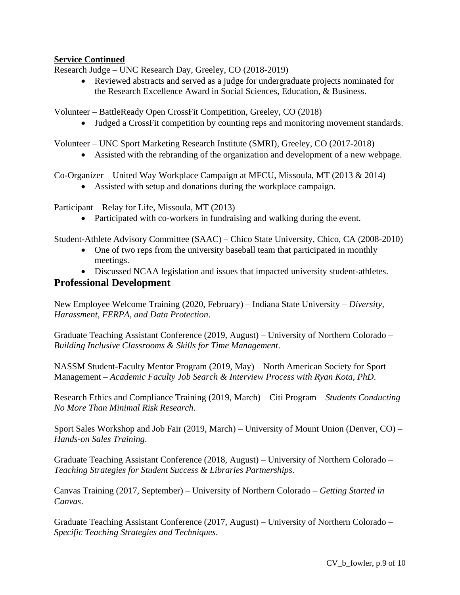# **Service Continued**

Research Judge – UNC Research Day, Greeley, CO (2018-2019)

• Reviewed abstracts and served as a judge for undergraduate projects nominated for the Research Excellence Award in Social Sciences, Education, & Business.

Volunteer – BattleReady Open CrossFit Competition, Greeley, CO (2018)

• Judged a CrossFit competition by counting reps and monitoring movement standards.

Volunteer – UNC Sport Marketing Research Institute (SMRI), Greeley, CO (2017-2018)

• Assisted with the rebranding of the organization and development of a new webpage.

Co-Organizer – United Way Workplace Campaign at MFCU, Missoula, MT (2013 & 2014)

• Assisted with setup and donations during the workplace campaign.

Participant – Relay for Life, Missoula, MT (2013)

• Participated with co-workers in fundraising and walking during the event.

Student-Athlete Advisory Committee (SAAC) – Chico State University, Chico, CA (2008-2010)

- One of two reps from the university baseball team that participated in monthly meetings.
- Discussed NCAA legislation and issues that impacted university student-athletes.

## **Professional Development**

New Employee Welcome Training (2020, February) – Indiana State University – *Diversity, Harassment, FERPA, and Data Protection*.

Graduate Teaching Assistant Conference (2019, August) – University of Northern Colorado – *Building Inclusive Classrooms & Skills for Time Management*.

NASSM Student-Faculty Mentor Program (2019, May) – North American Society for Sport Management – *Academic Faculty Job Search & Interview Process with Ryan Kota, PhD*.

Research Ethics and Compliance Training (2019, March) – Citi Program – *Students Conducting No More Than Minimal Risk Research*.

Sport Sales Workshop and Job Fair (2019, March) – University of Mount Union (Denver, CO) – *Hands-on Sales Training*.

Graduate Teaching Assistant Conference (2018, August) – University of Northern Colorado – *Teaching Strategies for Student Success & Libraries Partnerships*.

Canvas Training (2017, September) – University of Northern Colorado – *Getting Started in Canvas*.

Graduate Teaching Assistant Conference (2017, August) – University of Northern Colorado – *Specific Teaching Strategies and Techniques*.